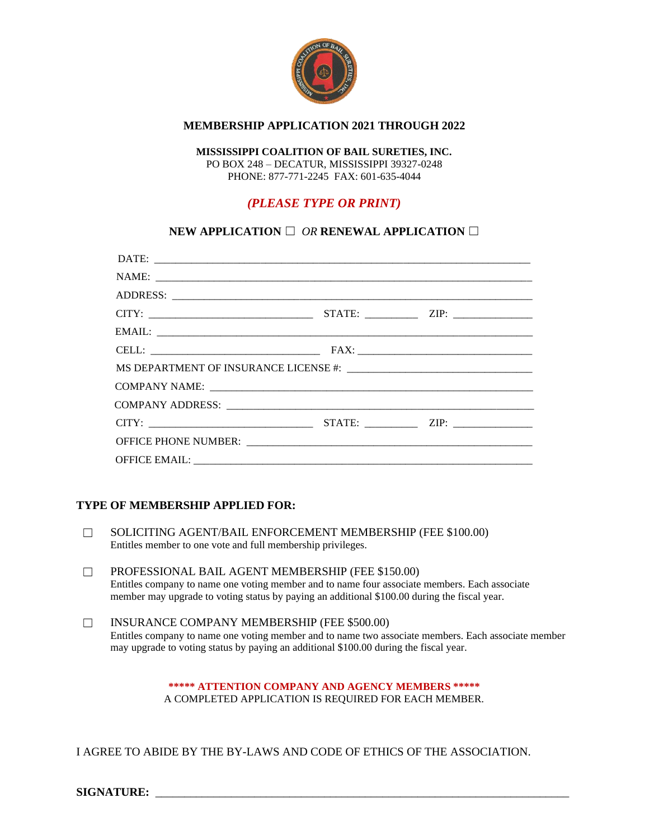

#### **MEMBERSHIP APPLICATION 2021 THROUGH 2022**

#### **MISSISSIPPI COALITION OF BAIL SURETIES, INC.**

PO BOX 248 – DECATUR, MISSISSIPPI 39327-0248 PHONE: 877-771-2245 FAX: 601-635-4044

## *(PLEASE TYPE OR PRINT)*

## **NEW APPLICATION** ☐ *OR* **RENEWAL APPLICATION** ☐

### **TYPE OF MEMBERSHIP APPLIED FOR:**

- ☐ SOLICITING AGENT/BAIL ENFORCEMENT MEMBERSHIP (FEE \$100.00) Entitles member to one vote and full membership privileges.
- ☐ PROFESSIONAL BAIL AGENT MEMBERSHIP (FEE \$150.00) Entitles company to name one voting member and to name four associate members. Each associate member may upgrade to voting status by paying an additional \$100.00 during the fiscal year.
- ☐ INSURANCE COMPANY MEMBERSHIP (FEE \$500.00) Entitles company to name one voting member and to name two associate members. Each associate member may upgrade to voting status by paying an additional \$100.00 during the fiscal year.

**\*\*\*\*\* ATTENTION COMPANY AND AGENCY MEMBERS \*\*\*\*\*** A COMPLETED APPLICATION IS REQUIRED FOR EACH MEMBER.

I AGREE TO ABIDE BY THE BY-LAWS AND CODE OF ETHICS OF THE ASSOCIATION.

SIGNATURE: